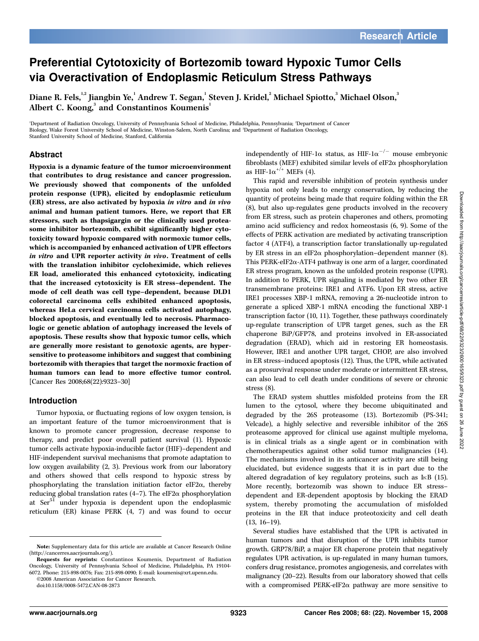# Preferential Cytotoxicity of Bortezomib toward Hypoxic Tumor Cells via Overactivation of Endoplasmic Reticulum Stress Pathways

Diane R. Fels, $^{\text{1,2}}$  Jiangbin Ye, $^{\text{1}}$  Andrew T. Segan, $^{\text{1}}$  Steven J. Kridel, $^{\text{2}}$  Michael Spiotto, $^{\text{3}}$  Michael Olson, $^{\text{3}}$ Albert C. Koong,<sup>3</sup> and Constantinos Koumenis<sup>1</sup>

'Department of Radiation Oncology, University of Pennsylvania School of Medicine, Philadelphia, Pennsylvania; <sup>2</sup>Department of Cancer Biology, Wake Forest University School of Medicine, Winston-Salem, North Carolina; and <sup>3</sup> Department of Radiation Oncology, Stanford University School of Medicine, Stanford, California

#### Abstract

Hypoxia is a dynamic feature of the tumor microenvironment that contributes to drug resistance and cancer progression. We previously showed that components of the unfolded protein response (UPR), elicited by endoplasmic reticulum (ER) stress, are also activated by hypoxia in vitro and in vivo animal and human patient tumors. Here, we report that ER stressors, such as thapsigargin or the clinically used proteasome inhibitor bortezomib, exhibit significantly higher cytotoxicity toward hypoxic compared with normoxic tumor cells, which is accompanied by enhanced activation of UPR effectors in vitro and UPR reporter activity in vivo. Treatment of cells with the translation inhibitor cycloheximide, which relieves ER load, ameliorated this enhanced cytotoxicity, indicating that the increased cytotoxicity is ER stress–dependent. The mode of cell death was cell type–dependent, because DLD1 colorectal carcinoma cells exhibited enhanced apoptosis, whereas HeLa cervical carcinoma cells activated autophagy, blocked apoptosis, and eventually led to necrosis. Pharmacologic or genetic ablation of autophagy increased the levels of apoptosis. These results show that hypoxic tumor cells, which are generally more resistant to genotoxic agents, are hypersensitive to proteasome inhibitors and suggest that combining bortezomib with therapies that target the normoxic fraction of human tumors can lead to more effective tumor control. [Cancer Res 2008;68(22):9323–30]

#### Introduction

Tumor hypoxia, or fluctuating regions of low oxygen tension, is an important feature of the tumor microenvironment that is known to promote cancer progression, decrease response to therapy, and predict poor overall patient survival (1). Hypoxic tumor cells activate hypoxia-inducible factor (HIF)–dependent and HIF-independent survival mechanisms that promote adaptation to low oxygen availability (2, 3). Previous work from our laboratory and others showed that cells respond to hypoxic stress by phosphorylating the translation initiation factor eIF2 $\alpha$ , thereby reducing global translation rates (4-7). The eIF2 $\alpha$  phosphorylation at Ser<sup>51</sup> under hypoxia is dependent upon the endoplasmic reticulum (ER) kinase PERK (4, 7) and was found to occur

©2008 American Association for Cancer Research.

independently of HIF-1 $\alpha$  status, as HIF-1 $\alpha^{-/-}$  mouse embryonic fibroblasts (MEF) exhibited similar levels of eIF2 $\alpha$  phosphorylation as HIF- $1\alpha^{+/+}$  MEFs (4).

This rapid and reversible inhibition of protein synthesis under hypoxia not only leads to energy conservation, by reducing the quantity of proteins being made that require folding within the ER (8), but also up-regulates gene products involved in the recovery from ER stress, such as protein chaperones and others, promoting amino acid sufficiency and redox homeostasis (6, 9). Some of the effects of PERK activation are mediated by activating transcription factor 4 (ATF4), a transcription factor translationally up-regulated by ER stress in an eIF2 $\alpha$  phosphorylation–dependent manner (8). This PERK-eIF2 $\alpha$ -ATF4 pathway is one arm of a larger, coordinated ER stress program, known as the unfolded protein response (UPR). In addition to PERK, UPR signaling is mediated by two other ER transmembrane proteins: IRE1 and ATF6. Upon ER stress, active IRE1 processes XBP-1 mRNA, removing a 26-nucleotide intron to generate a spliced XBP-1 mRNA encoding the functional XBP-1 transcription factor (10, 11). Together, these pathways coordinately up-regulate transcription of UPR target genes, such as the ER chaperone BiP/GFP78, and proteins involved in ER-associated degradation (ERAD), which aid in restoring ER homeostasis. However, IRE1 and another UPR target, CHOP, are also involved in ER stress–induced apoptosis (12). Thus, the UPR, while activated as a prosurvival response under moderate or intermittent ER stress, can also lead to cell death under conditions of severe or chronic stress (8).

The ERAD system shuttles misfolded proteins from the ER lumen to the cytosol, where they become ubiquitinated and degraded by the 26S proteasome (13). Bortezomib (PS-341; Velcade), a highly selective and reversible inhibitor of the 26S proteasome approved for clinical use against multiple myeloma, is in clinical trials as a single agent or in combination with chemotherapeutics against other solid tumor malignancies (14). The mechanisms involved in its anticancer activity are still being elucidated, but evidence suggests that it is in part due to the altered degradation of key regulatory proteins, such as  $I \kappa B$  (15). More recently, bortezomib was shown to induce ER stress– dependent and ER-dependent apoptosis by blocking the ERAD system, thereby promoting the accumulation of misfolded proteins in the ER that induce proteotoxicity and cell death (13, 16–19).

Several studies have established that the UPR is activated in human tumors and that disruption of the UPR inhibits tumor growth. GRP78/BiP, a major ER chaperone protein that negatively regulates UPR activation, is up-regulated in many human tumors, confers drug resistance, promotes angiogenesis, and correlates with malignancy (20–22). Results from our laboratory showed that cells with a compromised PERK-eIF2 $\alpha$  pathway are more sensitive to

Note: Supplementary data for this article are available at Cancer Research Online (http://cancerres.aacrjournals.org/).

Requests for reprints: Constantinos Koumenis, Department of Radiation Oncology, University of Pennsylvania School of Medicine, Philadelphia, PA 19104- 6072. Phone: 215-898-0076; Fax: 215-898-0090; E-mail: koumenis@xrt.upenn.edu.

doi:10.1158/0008-5472.CAN-08-2873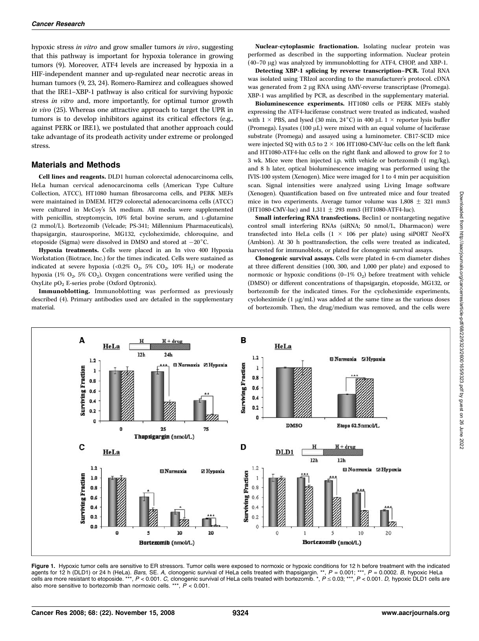hypoxic stress in vitro and grow smaller tumors in vivo, suggesting that this pathway is important for hypoxia tolerance in growing tumors (9). Moreover, ATF4 levels are increased by hypoxia in a HIF-independent manner and up-regulated near necrotic areas in human tumors (9, 23, 24). Romero-Ramirez and colleagues showed that the IRE1–XBP-1 pathway is also critical for surviving hypoxic stress in vitro and, more importantly, for optimal tumor growth in vivo (25). Whereas one attractive approach to target the UPR in tumors is to develop inhibitors against its critical effectors (e.g., against PERK or IRE1), we postulated that another approach could take advantage of its prodeath activity under extreme or prolonged stress.

#### Materials and Methods

Cell lines and reagents. DLD1 human colorectal adenocarcinoma cells, HeLa human cervical adenocarcinoma cells (American Type Culture Collection, ATCC), HT1080 human fibrosarcoma cells, and PERK MEFs were maintained in DMEM. HT29 colorectal adenocarcinoma cells (ATCC) were cultured in McCoy's 5A medium. All media were supplemented with penicillin, streptomycin, 10% fetal bovine serum, and L-glutamine (2 mmol/L). Bortezomib (Velcade; PS-341; Millennium Pharmaceuticals), thapsigargin, staurosporine, MG132, cycloheximide, chloroquine, and etoposide (Sigma) were dissolved in DMSO and stored at  $-20^{\circ}$ C.

Hypoxia treatments. Cells were placed in an In vivo 400 Hypoxia Workstation (Biotrace, Inc.) for the times indicated. Cells were sustained as indicated at severe hypoxia (<0.2%  $O_2$ , 5%  $CO_2$ , 10%  $H_2$ ) or moderate hypoxia (1%  $O_2$ , 5%  $CO_2$ ). Oxygen concentrations were verified using the OxyLite pO2 E-series probe (Oxford Optronix).

Immunoblotting. Immunoblotting was performed as previously described (4). Primary antibodies used are detailed in the supplementary material.

Nuclear-cytoplasmic fractionation. Isolating nuclear protein was performed as described in the supporting information. Nuclear protein (40–70 Ag) was analyzed by immunoblotting for ATF4, CHOP, and XBP-1.

Detecting XBP-1 splicing by reverse transcription–PCR. Total RNA was isolated using TRIzol according to the manufacturer's protocol. cDNA was generated from 2 µg RNA using AMV-reverse transcriptase (Promega). XBP-1 was amplified by PCR, as described in the supplementary material.

Bioluminescence experiments. HT1080 cells or PERK MEFs stably expressing the ATF4-luciferase construct were treated as indicated, washed with  $1 \times$  PBS, and lysed (30 min, 24 $^{\circ}$ C) in 400  $\mu$ L  $1 \times$  reporter lysis buffer (Promega). Lysates  $(100 \mu L)$  were mixed with an equal volume of luciferase substrate (Promega) and assayed using a luminometer. CB17-SCID mice were injected SQ with 0.5 to 2  $\times$  106 HT1080-CMV-luc cells on the left flank and HT1080-ATF4-luc cells on the right flank and allowed to grow for 2 to 3 wk. Mice were then injected i.p. with vehicle or bortezomib (1 mg/kg), and 8 h later, optical bioluminescence imaging was performed using the IVIS-100 system (Xenogen). Mice were imaged for 1 to 4 min per acquisition scan. Signal intensities were analyzed using Living Image software (Xenogen). Quantification based on five untreated mice and four treated mice in two experiments. Average tumor volume was  $1,808 \pm 321$  mm3 (HT1080-CMV-luc) and 1,311  $\pm$  293 mm3 (HT1080-ATF4-luc).

Small interfering RNA transfections. Beclin1 or nontargeting negative control small interfering RNAs (siRNA; 50 nmol/L, Dharmacon) were transfected into HeLa cells  $(1 \times 106$  per plate) using siPORT NeoFX (Ambion). At 30 h posttransfection, the cells were treated as indicated, harvested for immunoblots, or plated for clonogenic survival assays.

Clonogenic survival assays. Cells were plated in 6-cm diameter dishes at three different densities (100, 300, and 1,000 per plate) and exposed to normoxic or hypoxic conditions  $(0-1\% 0<sub>2</sub>)$  before treatment with vehicle (DMSO) or different concentrations of thapsigargin, etoposide, MG132, or bortezomib for the indicated times. For the cycloheximide experiments, cycloheximide  $(1 \mu g/mL)$  was added at the same time as the various doses of bortezomib. Then, the drug/medium was removed, and the cells were



Figure 1. Hypoxic tumor cells are sensitive to ER stressors. Tumor cells were exposed to normoxic or hypoxic conditions for 12 h before treatment with the indicated agents for 12 h (DLD1) or 24 h (HeLa). *Bars,* SE. A, clonogenic survival of HeLa cells treated with thapsigargin. \*\*, *P =* 0.001; \*\*\*, *P =* 0.0002. *B,* hypoxic HeLa<br>cells are more resistant to etoposide. \*\*\*, *P <* 0. also more sensitive to bortezomib than normoxic cells. \*\*\*,  $\ddot{P}$  < 0.001.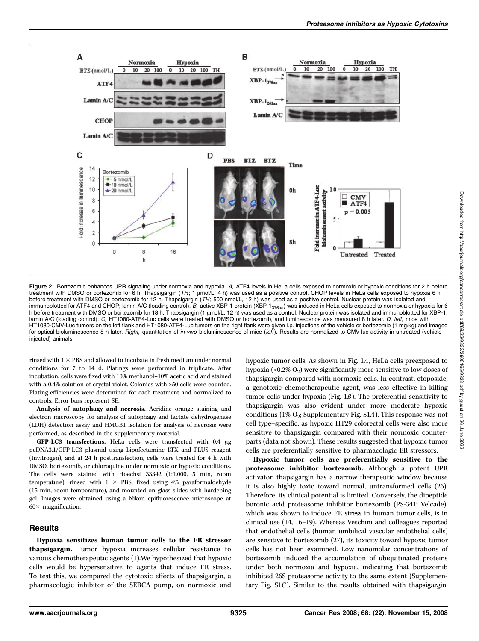

Figure 2. Bortezomib enhances UPR signaling under normoxia and hypoxia. A, ATF4 levels in HeLa cells exposed to normoxic or hypoxic conditions for 2 h before 1 and the treatment with DMSO or bortezomib for 6 h. Thapsigargi treatment with DMSO or bortezomib for 6 h. Thapsigargin (TH; 1 μmol/L, 4 h) was used as a positive control. CHOP levels in HeLa cells exposed to hypoxia 6 h<br>before treatment with DMSO or bortezomib for 12 h. Thapsigargin immunoblotted for ATF4 and CHOP; lamin A/C (loading control). B, active XBP-1 protein (XBP-1<sub>376aa</sub>) was induced in HeLa cells exposed to normoxia or hypoxia for 6 h before treatment with DMSO or bortezomib for 18 h. Thapsigargin (1 µmol/L, 12 h) was used as a control. Nuclear protein was isolated and immunoblotted for XBP-1; lamin A/C (loading control). C. HT1080-ATF4-Luc cells were treated with DMSO or bortezomib, and luminescence was measured 8 h later. D. left, mice with HT1080-CMV-Luc tumors on the left flank and HT1080-ATF4-Luc tumors on the right flank were given i.p. injections of the vehicle or bortezomib (1 mg/kg) and imaged for optical bioluminescence 8 h later. Right, quantitation of in vivo bioluminescence of mice (left). Results are normalized to CMV-luc activity in untreated (vehicleinjected) animals.

rinsed with  $1 \times$  PBS and allowed to incubate in fresh medium under normal conditions for 7 to 14 d. Platings were performed in triplicate. After incubation, cells were fixed with 10% methanol–10% acetic acid and stained with a 0.4% solution of crystal violet. Colonies with >50 cells were counted. Plating efficiencies were determined for each treatment and normalized to controls. Error bars represent SE.

Analysis of autophagy and necrosis. Acridine orange staining and electron microscopy for analysis of autophagy and lactate dehydrogenase (LDH) detection assay and HMGB1 isolation for analysis of necrosis were performed, as described in the supplementary material.

 $GFP-LC3$  transfections. HeLa cells were transfected with 0.4  $\mu$ g pcDNA3.1/GFP-LC3 plasmid using Lipofectamine LTX and PLUS reagent (Invitrogen), and at 24 h posttransfection, cells were treated for 4 h with DMSO, bortezomib, or chloroquine under normoxic or hypoxic conditions. The cells were stained with Hoechst 33342 (1:1,000, 5 min, room temperature), rinsed with  $1 \times$  PBS, fixed using 4% paraformaldehyde (15 min, room temperature), and mounted on glass slides with hardening gel. Images were obtained using a Nikon epifluorescence microscope at  $60\times$  magnification.

#### Results

Hypoxia sensitizes human tumor cells to the ER stressor thapsigargin. Tumor hypoxia increases cellular resistance to various chemotherapeutic agents (1).We hypothesized that hypoxic cells would be hypersensitive to agents that induce ER stress. To test this, we compared the cytotoxic effects of thapsigargin, a pharmacologic inhibitor of the SERCA pump, on normoxic and hypoxic tumor cells. As shown in Fig. 1A, HeLa cells preexposed to hypoxia (<0.2%  $O_2$ ) were significantly more sensitive to low doses of thapsigargin compared with normoxic cells. In contrast, etoposide, a genotoxic chemotherapeutic agent, was less effective in killing tumor cells under hypoxia (Fig. 1B). The preferential sensitivity to thapsigargin was also evident under more moderate hypoxic conditions (1%  $O_2$ ; Supplementary Fig. S1A). This response was not cell type–specific, as hypoxic HT29 colorectal cells were also more sensitive to thapsigargin compared with their normoxic counterparts (data not shown). These results suggested that hypoxic tumor cells are preferentially sensitive to pharmacologic ER stressors.

Hypoxic tumor cells are preferentially sensitive to the proteasome inhibitor bortezomib. Although a potent UPR activator, thapsigargin has a narrow therapeutic window because it is also highly toxic toward normal, untransformed cells (26). Therefore, its clinical potential is limited. Conversely, the dipeptide boronic acid proteasome inhibitor bortezomib (PS-341; Velcade), which was shown to induce ER stress in human tumor cells, is in clinical use (14, 16–19). Whereas Veschini and colleagues reported that endothelial cells (human umbilical vascular endothelial cells) are sensitive to bortezomib (27), its toxicity toward hypoxic tumor cells has not been examined. Low nanomolar concentrations of bortezomib induced the accumulation of ubiquitinated proteins under both normoxia and hypoxia, indicating that bortezomib inhibited 26S proteasome activity to the same extent (Supplementary Fig. S1C). Similar to the results obtained with thapsigargin,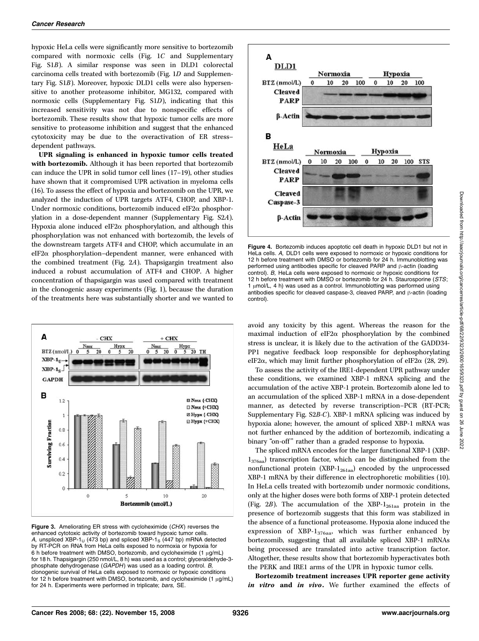hypoxic HeLa cells were significantly more sensitive to bortezomib compared with normoxic cells (Fig. 1C and Supplementary Fig. S1B). A similar response was seen in DLD1 colorectal carcinoma cells treated with bortezomib (Fig. 1D and Supplementary Fig. S1B). Moreover, hypoxic DLD1 cells were also hypersensitive to another proteasome inhibitor, MG132, compared with normoxic cells (Supplementary Fig. S1D), indicating that this increased sensitivity was not due to nonspecific effects of bortezomib. These results show that hypoxic tumor cells are more sensitive to proteasome inhibition and suggest that the enhanced cytotoxicity may be due to the overactivation of ER stress– dependent pathways.

UPR signaling is enhanced in hypoxic tumor cells treated with bortezomib. Although it has been reported that bortezomib can induce the UPR in solid tumor cell lines (17–19), other studies have shown that it compromised UPR activation in myeloma cells (16). To assess the effect of hypoxia and bortezomib on the UPR, we analyzed the induction of UPR targets ATF4, CHOP, and XBP-1. Under normoxic conditions, bortezomib induced eIF2 $\alpha$  phosphorylation in a dose-dependent manner (Supplementary Fig. S2A). Hypoxia alone induced eIF2 $\alpha$  phosphorylation, and although this phosphorylation was not enhanced with bortezomib, the levels of the downstream targets ATF4 and CHOP, which accumulate in an  $eIF2\alpha$  phosphorylation–dependent manner, were enhanced with the combined treatment (Fig. 2A). Thapsigargin treatment also induced a robust accumulation of ATF4 and CHOP. A higher concentration of thapsigargin was used compared with treatment in the clonogenic assay experiments (Fig. 1), because the duration of the treatments here was substantially shorter and we wanted to



Figure 3. Ameliorating ER stress with cycloheximide (CHX) reverses the enhanced cytotoxic activity of bortezomib toward hypoxic tumor cells. A, unspliced XBP-1 $_U$  (473 bp) and spliced XBP-1 $_S$  (447 bp) mRNA detected by RT-PCR on RNA from HeLa cells exposed to normoxia or hypoxia for 6 h before treatment with DMSO, bortezomib, and cycloheximide (1  $\mu$ g/mL) for 18 h. Thapsigargin (250 nmol/L, 8 h) was used as a control; glyceraldehyde-3 phosphate dehydrogenase (GAPDH) was used as a loading control. B, clonogenic survival of HeLa cells exposed to normoxic or hypoxic conditions for 12 h before treatment with DMSO, bortezomib, and cycloheximide (1  $\mu$ g/mL) for 24 h. Experiments were performed in triplicate; bars, SE.



Figure 4. Bortezomib induces apoptotic cell death in hypoxic DLD1 but not in HeLa cells. A, DLD1 cells were exposed to normoxic or hypoxic conditions for 12 h before treatment with DMSO or bortezomib for 24 h. Immunoblotting was performed using antibodies specific for cleaved PARP and  $\beta$ -actin (loading control). B, HeLa cells were exposed to normoxic or hypoxic conditions for 12 h before treatment with DMSO or bortezomib for 24 h. Staurosporine (STS; 1 umol/L, 4 h) was used as a control. Immunoblotting was performed using antibodies specific for cleaved caspase-3, cleaved PARP, and  $\beta$ -actin (loading control).

avoid any toxicity by this agent. Whereas the reason for the maximal induction of eIF2 $\alpha$  phosphorylation by the combined stress is unclear, it is likely due to the activation of the GADD34- PP1 negative feedback loop responsible for dephosphorylating eIF2 $\alpha$ , which may limit further phosphorylation of eIF2 $\alpha$  (28, 29).

To assess the activity of the IRE1-dependent UPR pathway under these conditions, we examined XBP-1 mRNA splicing and the accumulation of the active XBP-1 protein. Bortezomib alone led to an accumulation of the spliced XBP-1 mRNA in a dose-dependent manner, as detected by reverse transcription–PCR (RT-PCR; Supplementary Fig. S2B-C). XBP-1 mRNA splicing was induced by hypoxia alone; however, the amount of spliced XBP-1 mRNA was not further enhanced by the addition of bortezomib, indicating a binary "on-off" rather than a graded response to hypoxia.

The spliced mRNA encodes for the larger functional XBP-1 (XBP- $1_{376a}$ ) transcription factor, which can be distinguished from the nonfunctional protein  $(XBP-1_{261aa})$  encoded by the unprocessed XBP-1 mRNA by their difference in electrophoretic mobilities (10). In HeLa cells treated with bortezomib under normoxic conditions, only at the higher doses were both forms of XBP-1 protein detected (Fig.  $2B$ ). The accumulation of the XBP- $1_{261aa}$  protein in the presence of bortezomib suggests that this form was stabilized in the absence of a functional proteasome. Hypoxia alone induced the expression of XBP- $1_{376a}$ , which was further enhanced by bortezomib, suggesting that all available spliced XBP-1 mRNAs being processed are translated into active transcription factor. Altogether, these results show that bortezomib hyperactivates both the PERK and IRE1 arms of the UPR in hypoxic tumor cells.

Bortezomib treatment increases UPR reporter gene activity in vitro and in vivo. We further examined the effects of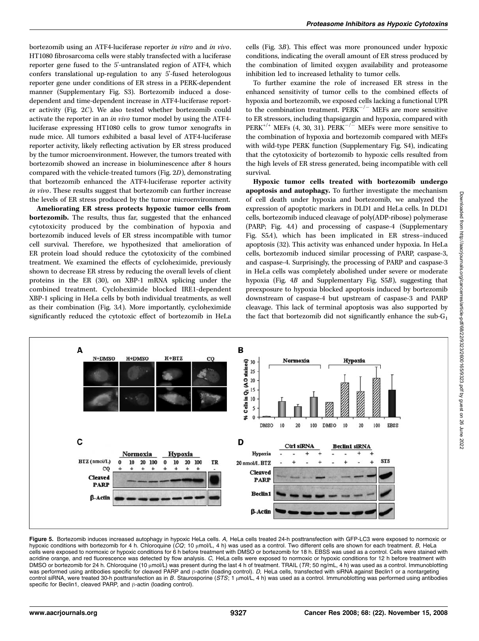bortezomib using an ATF4-luciferase reporter in vitro and in vivo. HT1080 fibrosarcoma cells were stably transfected with a luciferase reporter gene fused to the 5'-untranslated region of ATF4, which confers translational up-regulation to any 5'-fused heterologous reporter gene under conditions of ER stress in a PERK-dependent manner (Supplementary Fig. S3). Bortezomib induced a dosedependent and time-dependent increase in ATF4-luciferase reporter activity (Fig. 2C). We also tested whether bortezomib could activate the reporter in an in vivo tumor model by using the ATF4 luciferase expressing HT1080 cells to grow tumor xenografts in nude mice. All tumors exhibited a basal level of ATF4-luciferase reporter activity, likely reflecting activation by ER stress produced by the tumor microenvironment. However, the tumors treated with bortezomib showed an increase in bioluminescence after 8 hours compared with the vehicle-treated tumors (Fig. 2D), demonstrating that bortezomib enhanced the ATF4-luciferase reporter activity in vivo. These results suggest that bortezomib can further increase the levels of ER stress produced by the tumor microenvironment.

Ameliorating ER stress protects hypoxic tumor cells from bortezomib. The results, thus far, suggested that the enhanced cytotoxicity produced by the combination of hypoxia and bortezomib induced levels of ER stress incompatible with tumor cell survival. Therefore, we hypothesized that amelioration of ER protein load should reduce the cytotoxicity of the combined treatment. We examined the effects of cycloheximide, previously shown to decrease ER stress by reducing the overall levels of client proteins in the ER (30), on XBP-1 mRNA splicing under the combined treatment. Cycloheximide blocked IRE1-dependent XBP-1 splicing in HeLa cells by both individual treatments, as well as their combination (Fig. 3A). More importantly, cycloheximide significantly reduced the cytotoxic effect of bortezomib in HeLa

cells (Fig. 3B). This effect was more pronounced under hypoxic conditions, indicating the overall amount of ER stress produced by the combination of limited oxygen availability and proteasome inhibition led to increased lethality to tumor cells.

To further examine the role of increased ER stress in the enhanced sensitivity of tumor cells to the combined effects of hypoxia and bortezomib, we exposed cells lacking a functional UPR to the combination treatment.  $PERK^{-/-}$  MEFs are more sensitive to ER stressors, including thapsigargin and hypoxia, compared with  $PERK^{+/+}$  MEFs (4, 30, 31).  $PERK^{-/-}$  MEFs were more sensitive to the combination of hypoxia and bortezomib compared with MEFs with wild-type PERK function (Supplementary Fig. S4), indicating that the cytotoxicity of bortezomib to hypoxic cells resulted from the high levels of ER stress generated, being incompatible with cell survival.

Hypoxic tumor cells treated with bortezomib undergo apoptosis and autophagy. To further investigate the mechanism of cell death under hypoxia and bortezomib, we analyzed the expression of apoptotic markers in DLD1 and HeLa cells. In DLD1 cells, bortezomib induced cleavage of poly(ADP-ribose) polymerase (PARP; Fig. 4A) and processing of caspase-4 (Supplementary Fig. S5A), which has been implicated in ER stress–induced apoptosis (32). This activity was enhanced under hypoxia. In HeLa cells, bortezomib induced similar processing of PARP, caspase-3, and caspase-4. Surprisingly, the processing of PARP and caspase-3 in HeLa cells was completely abolished under severe or moderate hypoxia (Fig. 4B and Supplementary Fig. S5B), suggesting that preexposure to hypoxia blocked apoptosis induced by bortezomib downstream of caspase-4 but upstream of caspase-3 and PARP cleavage. This lack of terminal apoptosis was also supported by the fact that bortezomib did not significantly enhance the  $sub-G<sub>1</sub>$ 



**Figure 5.** Bortezomib induces increased autophagy in hypoxic HeLa cells. A, HeLa cells treated 24-h posttransfection with GFP-LC3 were exposed to normoxic or<br>hypoxic conditions with bortezomib for 4 h. Chloroquine (CQ; 10 cells were exposed to normoxic or hypoxic conditions for 6 h before treatment with DMSO or bortezomib for 18 h. EBSS was used as a control. Cells were stained with acridine orange, and red fluorescence was detected by flow analysis. C, HeLa cells were exposed to normoxic or hypoxic conditions for 12 h before treatment with DMSO or bortezomib for 24 h. Chloroquine (10 µmol/L) was present during the last 4 h of treatment. TRAIL (TR; 50 ng/mL, 4 h) was used as a control. Immunoblotting was performed using antibodies specific for cleaved PARP and  $\beta$ -actin (loading control). D, HeLa cells, transfected with siRNA against Beclin1 or a nontargeting control siRNA, were treated 30-h posttransfection as in B. Staurosporine (STS; 1  $\mu$ mol/L, 4 h) was used as a control. Immunoblotting was performed using antibodies specific for Beclin1, cleaved PARP, and  $\beta$ -actin (loading control).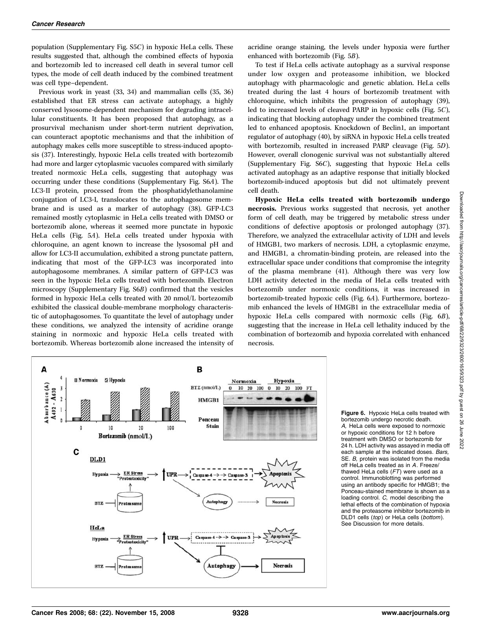population (Supplementary Fig. S5C) in hypoxic HeLa cells. These results suggested that, although the combined effects of hypoxia and bortezomib led to increased cell death in several tumor cell types, the mode of cell death induced by the combined treatment was cell type–dependent.

Previous work in yeast (33, 34) and mammalian cells (35, 36) established that ER stress can activate autophagy, a highly conserved lysosome-dependent mechanism for degrading intracellular constituents. It has been proposed that autophagy, as a prosurvival mechanism under short-term nutrient deprivation, can counteract apoptotic mechanisms and that the inhibition of autophagy makes cells more susceptible to stress-induced apoptosis (37). Interestingly, hypoxic HeLa cells treated with bortezomib had more and larger cytoplasmic vacuoles compared with similarly treated normoxic HeLa cells, suggesting that autophagy was occurring under these conditions (Supplementary Fig. S6A). The LC3-II protein, processed from the phosphatidylethanolamine conjugation of LC3-I, translocates to the autophagosome membrane and is used as a marker of autophagy (38). GFP-LC3 remained mostly cytoplasmic in HeLa cells treated with DMSO or bortezomib alone, whereas it seemed more punctate in hypoxic HeLa cells (Fig. 5A). HeLa cells treated under hypoxia with chloroquine, an agent known to increase the lysosomal pH and allow for LC3-II accumulation, exhibited a strong punctate pattern, indicating that most of the GFP-LC3 was incorporated into autophagosome membranes. A similar pattern of GFP-LC3 was seen in the hypoxic HeLa cells treated with bortezomib. Electron microscopy (Supplementary Fig. S6B) confirmed that the vesicles formed in hypoxic HeLa cells treated with 20 nmol/L bortezomib exhibited the classical double-membrane morphology characteristic of autophagosomes. To quantitate the level of autophagy under these conditions, we analyzed the intensity of acridine orange staining in normoxic and hypoxic HeLa cells treated with bortezomib. Whereas bortezomib alone increased the intensity of

acridine orange staining, the levels under hypoxia were further enhanced with bortezomib (Fig. 5B).

To test if HeLa cells activate autophagy as a survival response under low oxygen and proteasome inhibition, we blocked autophagy with pharmacologic and genetic ablation. HeLa cells treated during the last 4 hours of bortezomib treatment with chloroquine, which inhibits the progression of autophagy (39), led to increased levels of cleaved PARP in hypoxic cells (Fig. 5C), indicating that blocking autophagy under the combined treatment led to enhanced apoptosis. Knockdown of Beclin1, an important regulator of autophagy (40), by siRNA in hypoxic HeLa cells treated with bortezomib, resulted in increased PARP cleavage (Fig. 5D). However, overall clonogenic survival was not substantially altered (Supplementary Fig. S6C), suggesting that hypoxic HeLa cells activated autophagy as an adaptive response that initially blocked bortezomib-induced apoptosis but did not ultimately prevent cell death.

Hypoxic HeLa cells treated with bortezomib undergo necrosis. Previous works suggested that necrosis, yet another form of cell death, may be triggered by metabolic stress under conditions of defective apoptosis or prolonged autophagy (37). Therefore, we analyzed the extracellular activity of LDH and levels of HMGB1, two markers of necrosis. LDH, a cytoplasmic enzyme, and HMGB1, a chromatin-binding protein, are released into the extracellular space under conditions that compromise the integrity of the plasma membrane (41). Although there was very low LDH activity detected in the media of HeLa cells treated with bortezomib under normoxic conditions, it was increased in bortezomib-treated hypoxic cells (Fig. 6A). Furthermore, bortezomib enhanced the levels of HMGB1 in the extracellular media of hypoxic HeLa cells compared with normoxic cells (Fig. 6B), suggesting that the increase in HeLa cell lethality induced by the combination of bortezomib and hypoxia correlated with enhanced necrosis.



Figure 6. Hypoxic HeLa cells treated with bortezomib undergo necrotic death. A, HeLa cells were exposed to normoxic or hypoxic conditions for 12 h before treatment with DMSO or bortezomib for 24 h. LDH activity was assayed in media off each sample at the indicated doses. Bars, SE. B, protein was isolated from the media off HeLa cells treated as in A. Freeze/<br>thawed HeLa cells (FT) were used as a thawed HeLa cells (FT) were used as a control. Immunoblotting was performed using an antibody specific for HMGB1; the Ponceau-stained membrane is shown as a loading control. C, model describing the lethal effects of the combination of hypoxia and the proteasome inhibitor bortezomib in DLD1 cells (top) or HeLa cells (bottom). See Discussion for more details.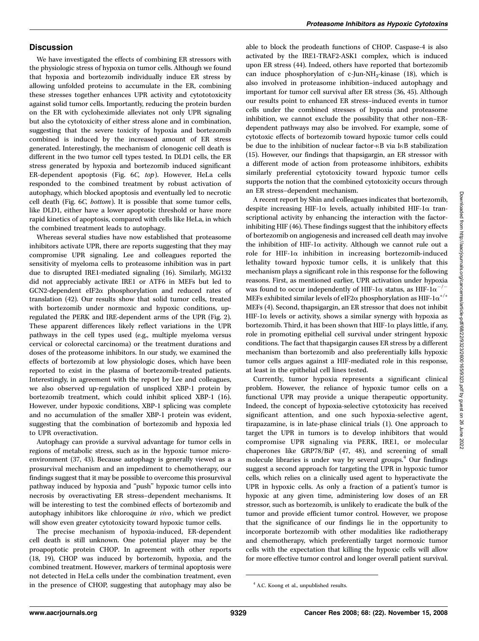## **Discussion**

We have investigated the effects of combining ER stressors with the physiologic stress of hypoxia on tumor cells. Although we found that hypoxia and bortezomib individually induce ER stress by allowing unfolded proteins to accumulate in the ER, combining these stresses together enhances UPR activity and cytototoxicity against solid tumor cells. Importantly, reducing the protein burden on the ER with cycloheximide alleviates not only UPR signaling but also the cytotoxicity of either stress alone and in combination, suggesting that the severe toxicity of hypoxia and bortezomib combined is induced by the increased amount of ER stress generated. Interestingly, the mechanism of clonogenic cell death is different in the two tumor cell types tested. In DLD1 cells, the ER stress generated by hypoxia and bortezomib induced significant ER-dependent apoptosis (Fig. 6C, top). However, HeLa cells responded to the combined treatment by robust activation of autophagy, which blocked apoptosis and eventually led to necrotic cell death (Fig. 6C, bottom). It is possible that some tumor cells, like DLD1, either have a lower apoptotic threshold or have more rapid kinetics of apoptosis, compared with cells like HeLa, in which the combined treatment leads to autophagy.

Whereas several studies have now established that proteasome inhibitors activate UPR, there are reports suggesting that they may compromise UPR signaling. Lee and colleagues reported the sensitivity of myeloma cells to proteasome inhibition was in part due to disrupted IRE1-mediated signaling (16). Similarly, MG132 did not appreciably activate IRE1 or ATF6 in MEFs but led to  $GCN2$ -dependent eIF2 $\alpha$  phosphorylation and reduced rates of translation (42). Our results show that solid tumor cells, treated with bortezomib under normoxic and hypoxic conditions, upregulated the PERK and IRE-dependent arms of the UPR (Fig. 2). These apparent differences likely reflect variations in the UPR pathways in the cell types used (e.g., multiple myeloma versus cervical or colorectal carcinoma) or the treatment durations and doses of the proteasome inhibitors. In our study, we examined the effects of bortezomib at low physiologic doses, which have been reported to exist in the plasma of bortezomib-treated patients. Interestingly, in agreement with the report by Lee and colleagues, we also observed up-regulation of unspliced XBP-1 protein by bortezomib treatment, which could inhibit spliced XBP-1 (16). However, under hypoxic conditions, XBP-1 splicing was complete and no accumulation of the smaller XBP-1 protein was evident, suggesting that the combination of bortezomib and hypoxia led to UPR overactivation.

Autophagy can provide a survival advantage for tumor cells in regions of metabolic stress, such as in the hypoxic tumor microenvironment (37, 43). Because autophagy is generally viewed as a prosurvival mechanism and an impediment to chemotherapy, our findings suggest that it may be possible to overcome this prosurvival pathway induced by hypoxia and ''push'' hypoxic tumor cells into necrosis by overactivating ER stress–dependent mechanisms. It will be interesting to test the combined effects of bortezomib and autophagy inhibitors like chloroquine in vivo, which we predict will show even greater cytotoxicity toward hypoxic tumor cells.

The precise mechanism of hypoxia-induced, ER-dependent cell death is still unknown. One potential player may be the proapoptotic protein CHOP. In agreement with other reports (18, 19), CHOP was induced by bortezomib, hypoxia, and the combined treatment. However, markers of terminal apoptosis were not detected in HeLa cells under the combination treatment, even in the presence of CHOP, suggesting that autophagy may also be

able to block the prodeath functions of CHOP. Caspase-4 is also activated by the IRE1-TRAF2-ASK1 complex, which is induced upon ER stress (44). Indeed, others have reported that bortezomib can induce phosphorylation of c-Jun-NH<sub>2</sub>-kinase (18), which is also involved in proteasome inhibition–induced autophagy and important for tumor cell survival after ER stress (36, 45). Although our results point to enhanced ER stress–induced events in tumor cells under the combined stresses of hypoxia and proteasome inhibition, we cannot exclude the possibility that other non–ERdependent pathways may also be involved. For example, some of cytotoxic effects of bortezomib toward hypoxic tumor cells could be due to the inhibition of nuclear factor- $\kappa$ B via I $\kappa$ B stabilization (15). However, our findings that thapsigargin, an ER stressor with a different mode of action from proteasome inhibitors, exhibits similarly preferential cytotoxicity toward hypoxic tumor cells supports the notion that the combined cytotoxicity occurs through an ER stress–dependent mechanism.

A recent report by Shin and colleagues indicates that bortezomib, despite increasing HIF-1 $\alpha$  levels, actually inhibited HIF-1 $\alpha$  transcriptional activity by enhancing the interaction with the factorinhibiting HIF (46). These findings suggest that the inhibitory effects of bortezomib on angiogenesis and increased cell death may involve the inhibition of HIF-1 $\alpha$  activity. Although we cannot rule out a role for HIF-1 $\alpha$  inhibition in increasing bortezomib-induced lethality toward hypoxic tumor cells, it is unlikely that this mechanism plays a significant role in this response for the following reasons. First, as mentioned earlier, UPR activation under hypoxia was found to occur independently of HIF-1 $\alpha$  status, as HIF-1 $\alpha^{-/-}$ MEFs exhibited similar levels of eIF2 $\alpha$  phosphorylation as HIF-1 $\alpha^{+/+}$ MEFs (4). Second, thapsigargin, an ER stressor that does not inhibit HIF-1 $\alpha$  levels or activity, shows a similar synergy with hypoxia as bortezomib. Third, it has been shown that  $HIF-I\alpha$  plays little, if any, role in promoting epithelial cell survival under stringent hypoxic conditions. The fact that thapsigargin causes ER stress by a different mechanism than bortezomib and also preferentially kills hypoxic tumor cells argues against a HIF-mediated role in this response, at least in the epithelial cell lines tested.

Currently, tumor hypoxia represents a significant clinical problem. However, the reliance of hypoxic tumor cells on a functional UPR may provide a unique therapeutic opportunity. Indeed, the concept of hypoxia-selective cytotoxicity has received significant attention, and one such hypoxia-selective agent, tirapazamine, is in late-phase clinical trials (1). One approach to target the UPR in tumors is to develop inhibitors that would compromise UPR signaling via PERK, IRE1, or molecular chaperones like GRP78/BiP (47, 48), and screening of small molecule libraries is under way by several groups.<sup>4</sup> Our findings suggest a second approach for targeting the UPR in hypoxic tumor cells, which relies on a clinically used agent to hyperactivate the UPR in hypoxic cells. As only a fraction of a patient's tumor is hypoxic at any given time, administering low doses of an ER stressor, such as bortezomib, is unlikely to eradicate the bulk of the tumor and provide efficient tumor control. However, we propose that the significance of our findings lie in the opportunity to incorporate bortezomib with other modalities like radiotherapy and chemotherapy, which preferentially target normoxic tumor cells with the expectation that killing the hypoxic cells will allow for more effective tumor control and longer overall patient survival.

<sup>4</sup> A.C. Koong et al., unpublished results.